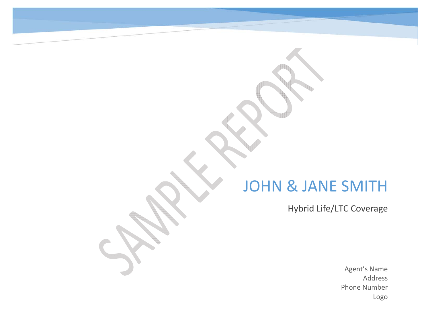# JOHN & JANE SMITH

Hybrid Life/LTC Coverage

Agent's Name AddressPhone Number Logo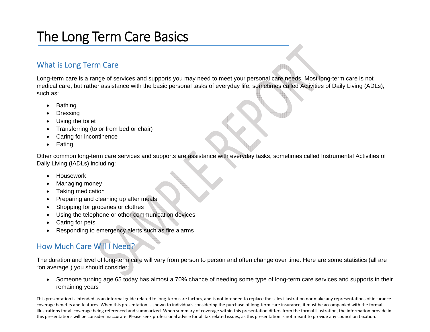## The Long Term Care Basics

#### What is Long Term Care

Long-term care is a range of services and supports you may need to meet your personal care needs. Most long-term care is not medical care, but rather assistance with the basic personal tasks of everyday life, sometimes called Activities of Daily Living (ADLs), such as:

- **Bathing**
- **Dressing**
- Using the toilet
- Transferring (to or from bed or chair)
- Caring for incontinence
- Eating

Other common long-term care services and supports are assistance with everyday tasks, sometimes called Instrumental Activities of Daily Living (IADLs) including:

- Housework
- Managing money
- Taking medication
- Preparing and cleaning up after meals
- Shopping for groceries or clothes
- Using the telephone or other communication devices
- Caring for pets
- Responding to emergency alerts such as fire alarms

### How Much Care Will I Need?

The duration and level of long-term care will vary from person to person and often change over time. Here are some statistics (all are "on average") you should consider:

• Someone turning age 65 today has almost a 70% chance of needing some type of long-term care services and supports in their remaining years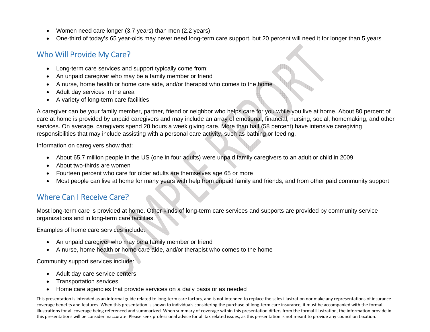- Women need care longer (3.7 years) than men (2.2 years)
- One-third of today's 65 year-olds may never need long-term care support, but 20 percent will need it for longer than 5 years

#### Who Will Provide My Care?

- Long-term care services and support typically come from:
- An unpaid caregiver who may be a family member or friend
- A nurse, home health or home care aide, and/or therapist who comes to the home
- Adult day services in the area
- A variety of long-term care facilities

A caregiver can be your family member, partner, friend or neighbor who helps care for you while you live at home. About 80 percent of care at home is provided by unpaid caregivers and may include an array of emotional, financial, nursing, social, homemaking, and other services. On average, caregivers spend 20 hours a week giving care. More than half (58 percent) have intensive caregiving responsibilities that may include assisting with a personal care activity, such as bathing or feeding.

Information on caregivers show that:

- About 65.7 million people in the US (one in four adults) were unpaid family caregivers to an adult or child in 2009
- About two-thirds are women
- Fourteen percent who care for older adults are themselves age 65 or more
- Most people can live at home for many years with help from unpaid family and friends, and from other paid community support

#### Where Can I Receive Care?

Most long-term care is provided at home. Other kinds of long-term care services and supports are provided by community service organizations and in long-term care facilities.

Examples of home care services include:

- An unpaid caregiver who may be a family member or friend
- A nurse, home health or home care aide, and/or therapist who comes to the home

Community support services include:

- Adult day care service centers
- Transportation services
- Home care agencies that provide services on a daily basis or as needed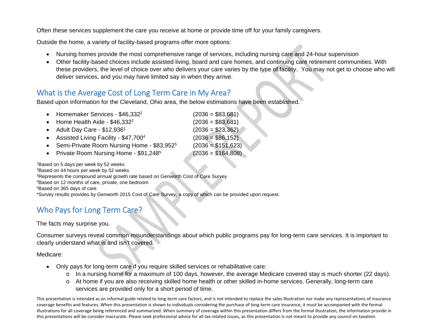Often these services supplement the care you receive at home or provide time off for your family caregivers.

Outside the home, a variety of facility-based programs offer more options:

- Nursing homes provide the most comprehensive range of services, including nursing care and 24-hour supervision
- Other facility-based choices include assisted living, board and care homes, and continuing care retirement communities. With these providers, the level of choice over who delivers your care varies by the type of facility. You may not get to choose who will deliver services, and you may have limited say in when they arrive.

#### What is the Average Cost of Long Term Care in My Area?

Based upon information for the Cleveland, Ohio area, the below estimations have been established.

| • Homemaker Services - \$46,332 <sup>2</sup>             | $(2036 = $83,681)$  |
|----------------------------------------------------------|---------------------|
| • Home Health Aide - $$46,332^2$                         | $(2036 = $83,681)$  |
| • Adult Day Care - $$12,9361$                            | $(2036 = $23,362)$  |
| • Assisted Living Facility - \$47,7004                   | $(2036 = $86,152)$  |
| • Semi-Private Room Nursing Home - \$83,952 <sup>5</sup> | $(2036 = $151,623)$ |
| • Private Room Nursing Home - \$91,248 <sup>5</sup>      | $(2036 = $164,808)$ |
|                                                          |                     |

1Based on 5 days per week by 52 weeks 2Based on 44 hours per week by 52 weeks 3Represents the compound annual growth rate based on Genworth Cost of Care Survey 4Based on 12 months of care, private, one bedroom 5Based on 365 days of care \*Survey results provides by Genworth 2015 Cost of Care Survey, a copy of which can be provided upon request.

### Who Pays for Long Term Care?

The facts may surprise you.

Consumer surveys reveal common misunderstandings about which public programs pay for long-term care services. It is important to clearly understand what is and isn't covered.

#### Medicare:

- Only pays for long-term care if you require skilled services or rehabilitative care:
	- <sup>o</sup> In a nursing home for a maximum of 100 days, however, the average Medicare covered stay is much shorter (22 days).
	- <sup>o</sup> At home if you are also receiving skilled home health or other skilled in-home services. Generally, long-term care services are provided only for a short period of time.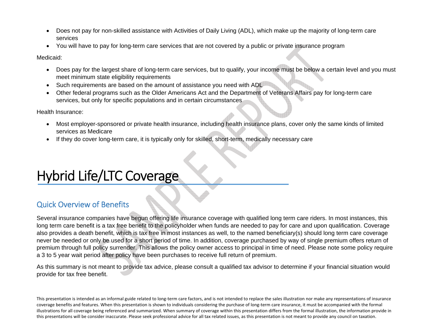- Does not pay for non-skilled assistance with Activities of Daily Living (ADL), which make up the majority of long-term care services
- You will have to pay for long-term care services that are not covered by a public or private insurance program

Medicaid:

- Does pay for the largest share of long-term care services, but to qualify, your income must be below a certain level and you must meet minimum state eligibility requirements
- Such requirements are based on the amount of assistance you need with ADL
- Other federal programs such as the Older Americans Act and the Department of Veterans Affairs pay for long-term care services, but only for specific populations and in certain circumstances

Health Insurance:

- Most employer-sponsored or private health insurance, including health insurance plans, cover only the same kinds of limited services as Medicare
- If they do cover long-term care, it is typically only for skilled, short-term, medically necessary care

# Hybrid Life/LTC Coverage

#### Quick Overview of Benefits

Several insurance companies have begun offering life insurance coverage with qualified long term care riders. In most instances, this long term care benefit is a tax free benefit to the policyholder when funds are needed to pay for care and upon qualification. Coverage also provides a death benefit, which is tax free in most instances as well, to the named beneficiary(s) should long term care coverage never be needed or only be used for a short period of time. In addition, coverage purchased by way of single premium offers return of premium through full policy surrender. This allows the policy owner access to principal in time of need. Please note some policy require a 3 to 5 year wait period after policy have been purchases to receive full return of premium.

As this summary is not meant to provide tax advice, please consult a qualified tax advisor to determine if your financial situation would provide for tax free benefit.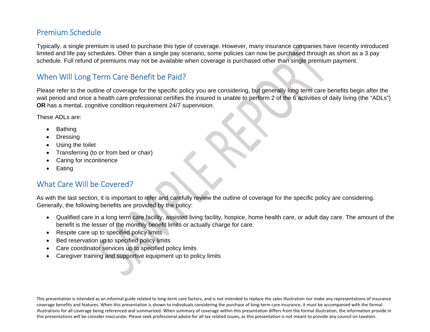#### Premium Schedule

Typically, a single premium is used to purchase this type of coverage. However, many insurance companies have recently introduced limited and life pay schedules. Other than a single pay scenario, some policies can now be purchased through as short as a 3 pay schedule. Full refund of premiums may not be available when coverage is purchased other than single premium payment.

#### When Will Long Term Care Benefit be Paid?

Please refer to the outline of coverage for the specific policy you are considering, but generally long term care benefits begin after the wait period and once a health care professional certifies the insured is unable to perform 2 of the 6 activities of daily living (the "ADLs") **OR** has a mental, cognitive condition requirement 24/7 supervision.

These ADLs are:

- Bathing
- **Dressing**
- Using the toilet
- Transferring (to or from bed or chair)
- Caring for incontinence
- **Eating**

#### What Care Will be Covered?

As with the last section, it is important to refer and carefully review the outline of coverage for the specific policy are considering. Generally, the following benefits are provided by the policy:

- Qualified care in a long term care facility, assisted living facility, hospice, home health care, or adult day care. The amount of the benefit is the lesser of the monthly benefit limits or actually charge for care.
- Respite care up to specified policy limits
- Bed reservation up to specified policy limits
- Care coordinator services up to specified policy limits
- Caregiver training and supportive equipment up to policy limits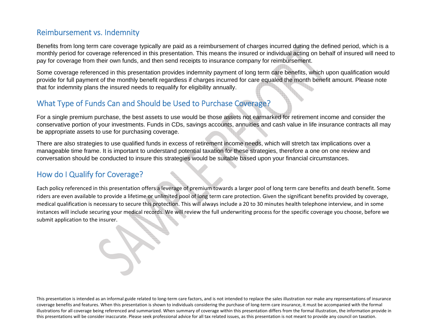#### Reimbursement vs. Indemnity

Benefits from long term care coverage typically are paid as a reimbursement of charges incurred during the defined period, which is a monthly period for coverage referenced in this presentation. This means the insured or individual acting on behalf of insured will need to pay for coverage from their own funds, and then send receipts to insurance company for reimbursement.

Some coverage referenced in this presentation provides indemnity payment of long term care benefits, which upon qualification would provide for full payment of the monthly benefit regardless if charges incurred for care equaled the month benefit amount. Please note that for indemnity plans the insured needs to requalify for eligibility annually.

#### What Type of Funds Can and Should be Used to Purchase Coverage?

For a single premium purchase, the best assets to use would be those assets not earmarked for retirement income and consider the conservative portion of your investments. Funds in CDs, savings accounts, annuities and cash value in life insurance contracts all may be appropriate assets to use for purchasing coverage.

There are also strategies to use qualified funds in excess of retirement income needs, which will stretch tax implications over a manageable time frame. It is important to understand potential taxation for these strategies, therefore a one on one review and conversation should be conducted to insure this strategies would be suitable based upon your financial circumstances.

#### How do I Qualify for Coverage?

Each policy referenced in this presentation offers <sup>a</sup> leverage of premium towards <sup>a</sup> larger pool of long term care benefits and death benefit. Some riders are even available to provide <sup>a</sup> lifetime or unlimited pool of long term care protection. Given the significant benefits provided by coverage, medical qualification is necessary to secure this protection. This will always include <sup>a</sup> 20 to 30 minutes health telephone interview, and in some instances will include securing your medical records. We will review the full underwriting process for the specific coverage you choose, before we submit application to the insurer.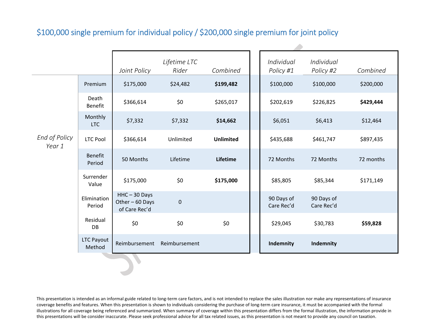### \$100,000 single premium for individual policy / \$200,000 single premium for joint policy

|                         |                       | Joint Policy                                        | Lifetime LTC<br>Rider | Combined         | Individual<br>Policy #1  | Individual<br>Policy #2  | Combined  |
|-------------------------|-----------------------|-----------------------------------------------------|-----------------------|------------------|--------------------------|--------------------------|-----------|
|                         | Premium               | \$175,000                                           | \$24,482              | \$199,482        | \$100,000                | \$100,000                | \$200,000 |
|                         | Death<br>Benefit      | \$366,614                                           | \$0                   | \$265,017        | \$202,619                | \$226,825                | \$429,444 |
|                         | Monthly<br><b>LTC</b> | \$7,332                                             | \$7,332               | \$14,662         | \$6,051                  | \$6,413                  | \$12,464  |
| End of Policy<br>Year 1 | <b>LTC Pool</b>       | \$366,614                                           | Unlimited             | <b>Unlimited</b> | \$435,688                | \$461,747                | \$897,435 |
|                         | Benefit<br>Period     | 50 Months                                           | Lifetime              | Lifetime         | 72 Months                | 72 Months                | 72 months |
|                         | Surrender<br>Value    | \$175,000                                           | \$0                   | \$175,000        | \$85,805                 | \$85,344                 | \$171,149 |
|                         | Elimination<br>Period | $HHC - 30$ Days<br>Other - 60 Days<br>of Care Rec'd | $\pmb{0}$             |                  | 90 Days of<br>Care Rec'd | 90 Days of<br>Care Rec'd |           |
|                         | Residual<br>DB        | \$0\$                                               | \$0                   | \$0              | \$29,045                 | \$30,783                 | \$59,828  |
|                         | LTC Payout<br>Method  | Reimbursement                                       | Reimbursement         |                  | Indemnity                | Indemnity                |           |

⊿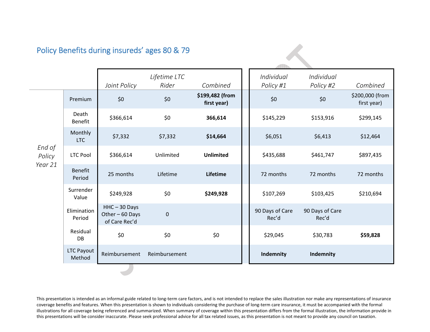#### Policy Benefits during insureds' ages 80 & 79

|                             |                             | Joint Policy                                        | Lifetime LTC<br>Rider | Combined                       | Individual<br>Policy #1  | Individual<br>Policy #2  | Combined                       |
|-----------------------------|-----------------------------|-----------------------------------------------------|-----------------------|--------------------------------|--------------------------|--------------------------|--------------------------------|
|                             | Premium                     | \$0                                                 | \$0\$                 | \$199,482 (from<br>first year) | \$0                      | \$0                      | \$200,000 (from<br>first year) |
|                             | Death<br><b>Benefit</b>     | \$366,614                                           | \$0                   | 366,614                        | \$145,229                | \$153,916                | \$299,145                      |
|                             | Monthly<br><b>LTC</b>       | \$7,332                                             | \$7,332               | \$14,664                       | \$6,051                  | \$6,413                  | \$12,464                       |
| End of<br>Policy<br>Year 21 | <b>LTC Pool</b>             | \$366,614                                           | Unlimited             | <b>Unlimited</b>               | \$435,688                | \$461,747                | \$897,435                      |
|                             | <b>Benefit</b><br>Period    | 25 months                                           | Lifetime              | Lifetime                       | 72 months                | 72 months                | 72 months                      |
|                             | Surrender<br>Value          | \$249,928                                           | \$0                   | \$249,928                      | \$107,269                | \$103,425                | \$210,694                      |
|                             | Elimination<br>Period       | $HHC - 30$ Days<br>Other - 60 Days<br>of Care Rec'd | $\pmb{0}$             |                                | 90 Days of Care<br>Rec'd | 90 Days of Care<br>Rec'd |                                |
|                             | Residual<br><b>DB</b>       | \$0                                                 | \$0                   | \$0                            | \$29,045                 | \$30,783                 | \$59,828                       |
|                             | <b>LTC Payout</b><br>Method | Reimbursement                                       | Reimbursement         |                                | Indemnity                | Indemnity                |                                |